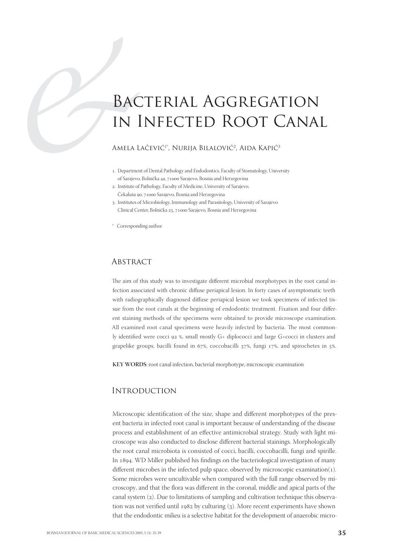# **BAC**<br>
IN<br>
AMELA I<br>
AMELA I<br>
... Department<br>
of Sarajeve<br>
2. Institute of Bacterial Aggregation in Infected Root Canal

Amela Lačević<sup>1\*</sup>, Nurija Bilalović<sup>2</sup>, Aida Kapić<sup>3</sup>

- . Department of Dental Pathology and Endodontics, Faculty of Stomatology, University of Sarajevo, Bolnička 4a, 71000 Sarajevo, Bosnia and Herzegovina
- . Institute of Pathology, Faculty of Medicine, University of Sarajevo, Čekaluša 90, 71000 Sarajevo, Bosnia and Herzegovina
- . Institutes of Microbiology, Immunology and Parasitology, University of Sarajevo Clinical Center, Bolnička 25, 71000 Sarajevo, Bosnia and Herzegovina

\* Corresponding author

## **ABSTRACT**

The aim of this study was to investigate different microbial morphotypes in the root canal infection associated with chronic diffuse periapical lesion. In forty cases of asymptomatic teeth with radiographically diagnosed diffuse periapical lesion we took specimens of infected tissue from the root canals at the beginning of endodontic treatment. Fixation and four different staining methods of the specimens were obtained to provide microscope examination. All examined root canal specimens were heavily infected by bacteria. The most commonly identified were cocci  $92$  %, small mostly G+ diplococci and large G+cocci in clusters and grapelike groups, bacilli found in 67%, coccobacilli  $37\%$ , fungi 17%, and spirochetes in 5%.

**KEY WORDS**: root canal infection, bacterial morphotype, microscopic examination

# **INTRODUCTION**

Microscopic identification of the size, shape and different morphotypes of the present bacteria in infected root canal is important because of understanding of the disease process and establishment of an effective antimicrobial strategy. Study with light microscope was also conducted to disclose different bacterial stainings. Morphologically the root canal microbiota is consisted of cocci, bacilli, coccobacilli, fungi and spirille. In 1894. WD Miller published his findings on the bacteriological investigation of many different microbes in the infected pulp space, observed by microscopic examination(1). Some microbes were uncultivable when compared with the full range observed by microscopy, and that the flora was different in the coronal, middle and apical parts of the canal system  $(2)$ . Due to limitations of sampling and cultivation technique this observation was not verified until 1982 by culturing  $(3)$ . More recent experiments have shown that the endodontic milieu is a selective habitat for the development of anaerobic micro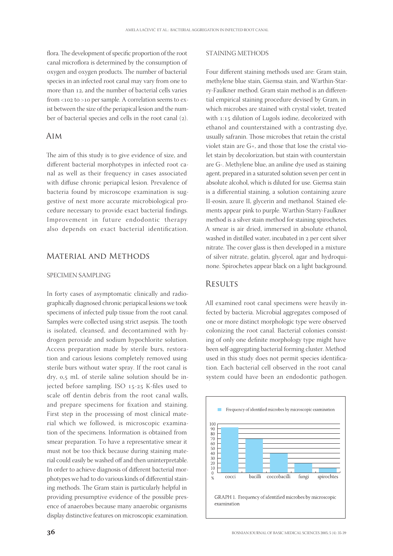flora. The development of specific proportion of the root canal microflora is determined by the consumption of oxygen and oxygen products. The number of bacterial species in an infected root canal may vary from one to more than 12, and the number of bacterial cells varies from < $102$  to > $10$  per sample. A correlation seems to exist between the size of the periapical lesion and the number of bacterial species and cells in the root canal (2).

## Aim

The aim of this study is to give evidence of size, and different bacterial morphotypes in infected root canal as well as their frequency in cases associated with diffuse chronic periapical lesion. Prevalence of bacteria found by microscope examination is suggestive of next more accurate microbiological procedure necessary to provide exact bacterial findings. Improvement in future endodontic therapy also depends on exact bacterial identification.

## Material and Methods

#### SPECIMEN SAMPLING

In forty cases of asymptomatic clinically and radiographically diagnosed chronic periapical lesions we took specimens of infected pulp tissue from the root canal. Samples were collected using strict asepsis. The tooth is isolated, cleansed, and decontamined with hydrogen peroxide and sodium hypochlorite solution. Access preparation made by sterile burs, restoration and carious lesions completely removed using sterile burs without water spray. If the root canal is dry, 0,5 mL of sterile saline solution should be injected before sampling. ISO 15-25 K-files used to scale off dentin debris from the root canal walls, and prepare specimens for fixation and staining. First step in the processing of most clinical material which we followed, is microscopic examination of the specimens. Information is obtained from smear preparation. To have a representative smear it must not be too thick because during staining material could easily be washed off and then uninterpretable. In order to achieve diagnosis of different bacterial morphotypes we had to do various kinds of differential staining methods. The Gram stain is particularly helpful in providing presumptive evidence of the possible presence of anaerobes because many anaerobic organisms display distinctive features on microscopic examination.

#### STAINING METHODS

Four different staining methods used are: Gram stain, methylene blue stain, Giemsa stain, and Warthin-Starry-Faulkner method. Gram stain method is an differential empirical staining procedure devised by Gram, in which microbes are stained with crystal violet, treated with 1:15 dilution of Lugols iodine, decolorized with ethanol and counterstained with a contrasting dye, usually safranin. Those microbes that retain the cristal violet stain are G+, and those that lose the cristal violet stain by decolorization, but stain with counterstain are G-. Methylene blue, an aniline dye used as staining agent, prepared in a saturated solution seven per cent in absolute alcohol, which is diluted for use. Giemsa stain is a differential staining, a solution containing azure II-eosin, azure II, glycerin and methanol. Stained elements appear pink to purple. Warthin-Starry-Faulkner method is a silver stain method for staining spirochetes. A smear is air dried, immersed in absolute ethanol, washed in distilled water, incubated in 2 per cent silver nitrate. The cover glass is then developed in a mixture of silver nitrate, gelatin, glycerol, agar and hydroquinone. Spirochetes appear black on a light background.

### **RESULTS**

All examined root canal specimens were heavily infected by bacteria. Microbial aggregates composed of one or more distinct morphologic type were observed colonizing the root canal. Bacterial colonies consisting of only one definite morphology type might have been self-aggregating bacterial forming cluster. Method used in this study does not permit species identification. Each bacterial cell observed in the root canal system could have been an endodontic pathogen.

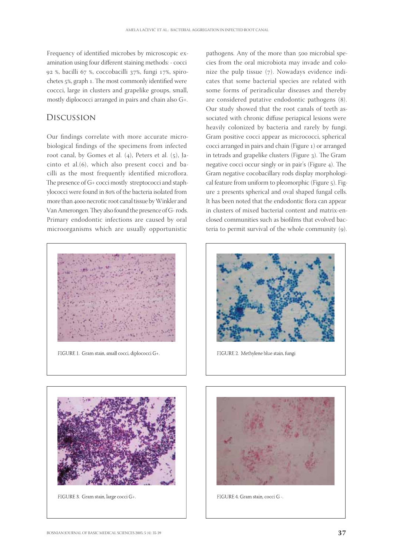Frequency of identified microbes by microscopic examination using four different staining methods: - cocci 92 %, bacilli 67 %, coccobacilli 37%, fungi 17%, spirochetes 5%, graph 1. The most commonly identified were coccci, large in clusters and grapelike groups, small, mostly diplococci arranged in pairs and chain also G+.

# Discussion

Our findings correlate with more accurate microbiological findings of the specimens from infected root canal, by Gomes et al.  $(4)$ , Peters et al.  $(5)$ , Jacinto et al. $(6)$ , which also present cocci and bacilli as the most frequently identified microflora. The presence of G+ cocci mostly streptococci and staphylococci were found in 80% of the bacteria isolated from more than 4000 necrotic root canal tissue by Winkler and Van Amerongen. They also found the presence of G- rods. Primary endodontic infections are caused by oral microorganisms which are usually opportunistic



FIGURE 1. Gram stain, small cocci, diplococci G+.

pathogens. Any of the more than 500 microbial species from the oral microbiota may invade and colonize the pulp tissue  $(7)$ . Nowadays evidence indicates that some bacterial species are related with some forms of periradicular diseases and thereby are considered putative endodontic pathogens (8). Our study showed that the root canals of teeth associated with chronic diffuse periapical lesions were heavily colonized by bacteria and rarely by fungi. Gram positive cocci appear as micrococci, spherical cocci arranged in pairs and chain (Figure 1) or arranged in tetrads and grapelike clusters (Figure 3). The Gram negative cocci occur singly or in pair's (Figure 4). The Gram negative cocobacillary rods display morphological feature from uniform to pleomorphic (Figure 5). Figure 2 presents spherical and oval shaped fungal cells. It has been noted that the endodontic flora can appear in clusters of mixed bacterial content and matrix-enclosed communities such as biofilms that evolved bacteria to permit survival of the whole community (9).



FIGURE 2. Methylene blue stain, fungi



FIGURE 3. Gram stain, large cocci G+.



FIGURE 4. Gram stain, cocci G -.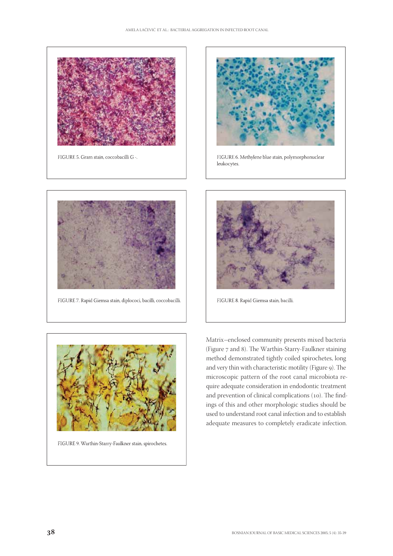

FIGURE 5. Gram stain, coccobacilli G -.



FIGURE 6. Methylene blue stain, polymorphonuclear leukocytes.



FIGURE 7. Rapid Giemsa stain, diplococi, bacilli, coccobacilli.



FIGURE 8. Rapid Giemsa stain, bacilli.



FIGURE 9. Warthin-Starry-Faulkner stain, spirochetes.

Matrix–enclosed community presents mixed bacteria (Figure 7 and 8). The Warthin-Starry-Faulkner staining method demonstrated tightly coiled spirochetes, long and very thin with characteristic motility (Figure 9). The microscopic pattern of the root canal microbiota require adequate consideration in endodontic treatment and prevention of clinical complications (10). The findings of this and other morphologic studies should be used to understand root canal infection and to establish adequate measures to completely eradicate infection.